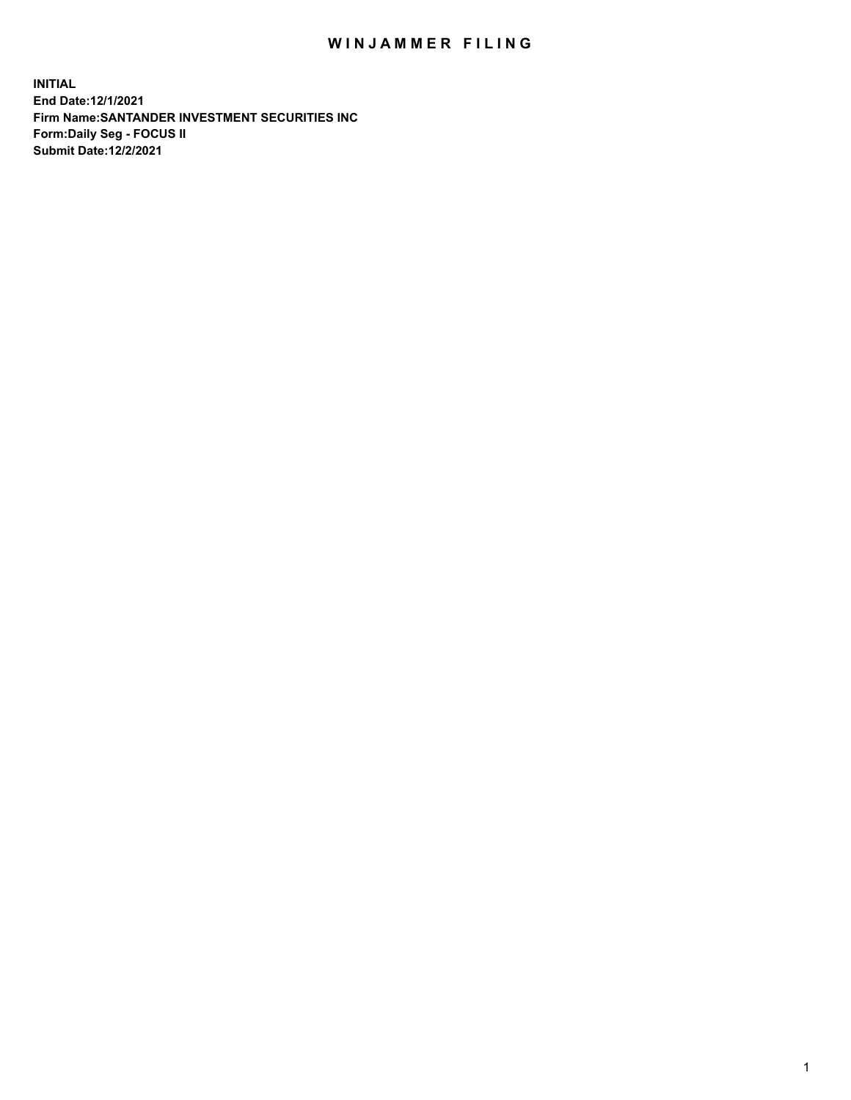## WIN JAMMER FILING

**INITIAL End Date:12/1/2021 Firm Name:SANTANDER INVESTMENT SECURITIES INC Form:Daily Seg - FOCUS II Submit Date:12/2/2021**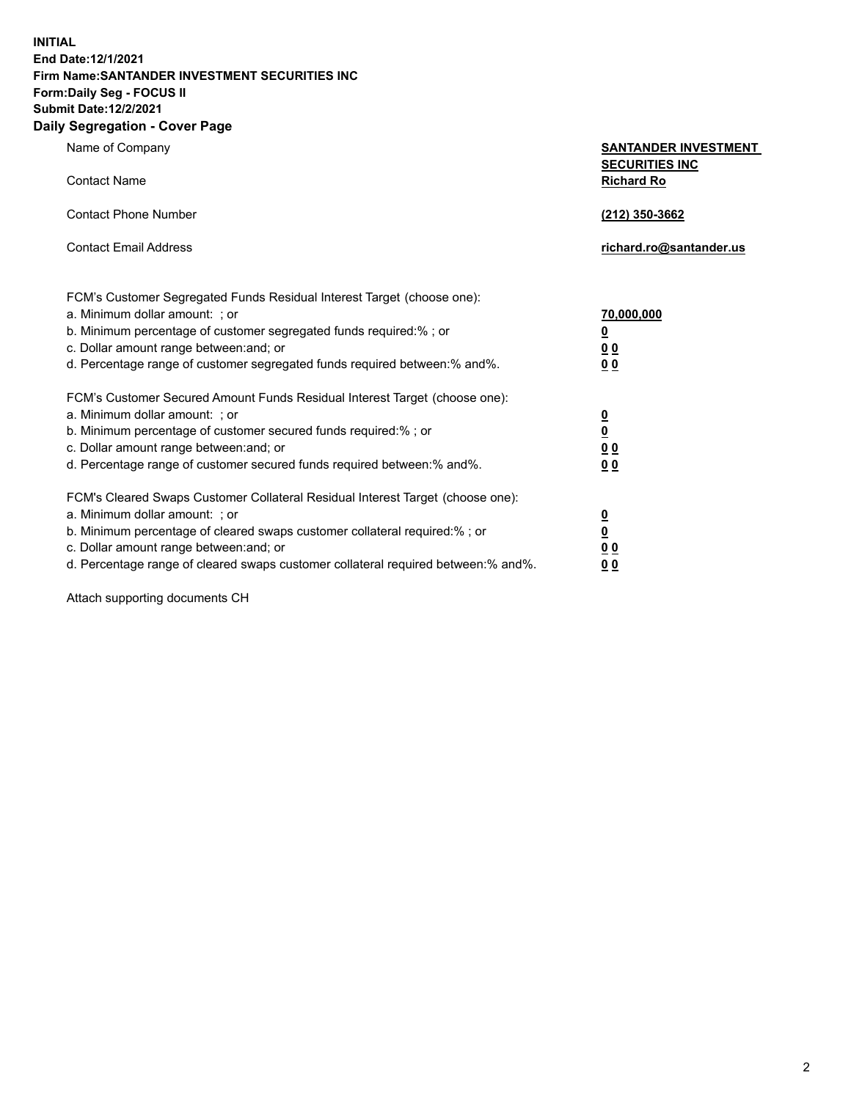**INITIAL End Date:12/1/2021 Firm Name:SANTANDER INVESTMENT SECURITIES INC Form:Daily Seg - FOCUS II Submit Date:12/2/2021 Daily Segregation - Cover Page**

| 0.91                                                                              |                                                      |
|-----------------------------------------------------------------------------------|------------------------------------------------------|
| Name of Company                                                                   | <b>SANTANDER INVESTMENT</b><br><b>SECURITIES INC</b> |
| <b>Contact Name</b>                                                               | <b>Richard Ro</b>                                    |
| <b>Contact Phone Number</b>                                                       | (212) 350-3662                                       |
| <b>Contact Email Address</b>                                                      | richard.ro@santander.us                              |
| FCM's Customer Segregated Funds Residual Interest Target (choose one):            |                                                      |
| a. Minimum dollar amount: ; or                                                    | 70,000,000                                           |
| b. Minimum percentage of customer segregated funds required:%; or                 | <u>0</u>                                             |
| c. Dollar amount range between: and; or                                           | 0 <sub>0</sub>                                       |
| d. Percentage range of customer segregated funds required between: % and %.       | 0 <sub>0</sub>                                       |
| FCM's Customer Secured Amount Funds Residual Interest Target (choose one):        |                                                      |
| a. Minimum dollar amount: ; or                                                    | $\overline{\mathbf{0}}$                              |
| b. Minimum percentage of customer secured funds required:%; or                    | $\overline{\mathbf{0}}$                              |
| c. Dollar amount range between: and; or                                           | 0 <sub>0</sub>                                       |
| d. Percentage range of customer secured funds required between: % and %.          | 0 <sub>0</sub>                                       |
| FCM's Cleared Swaps Customer Collateral Residual Interest Target (choose one):    |                                                      |
| a. Minimum dollar amount: ; or                                                    | $\overline{\mathbf{0}}$                              |
| b. Minimum percentage of cleared swaps customer collateral required:%; or         | $\overline{\mathbf{0}}$                              |
| c. Dollar amount range between: and; or                                           | 00                                                   |
| d. Percentage range of cleared swaps customer collateral required between:% and%. | 00                                                   |

Attach supporting documents CH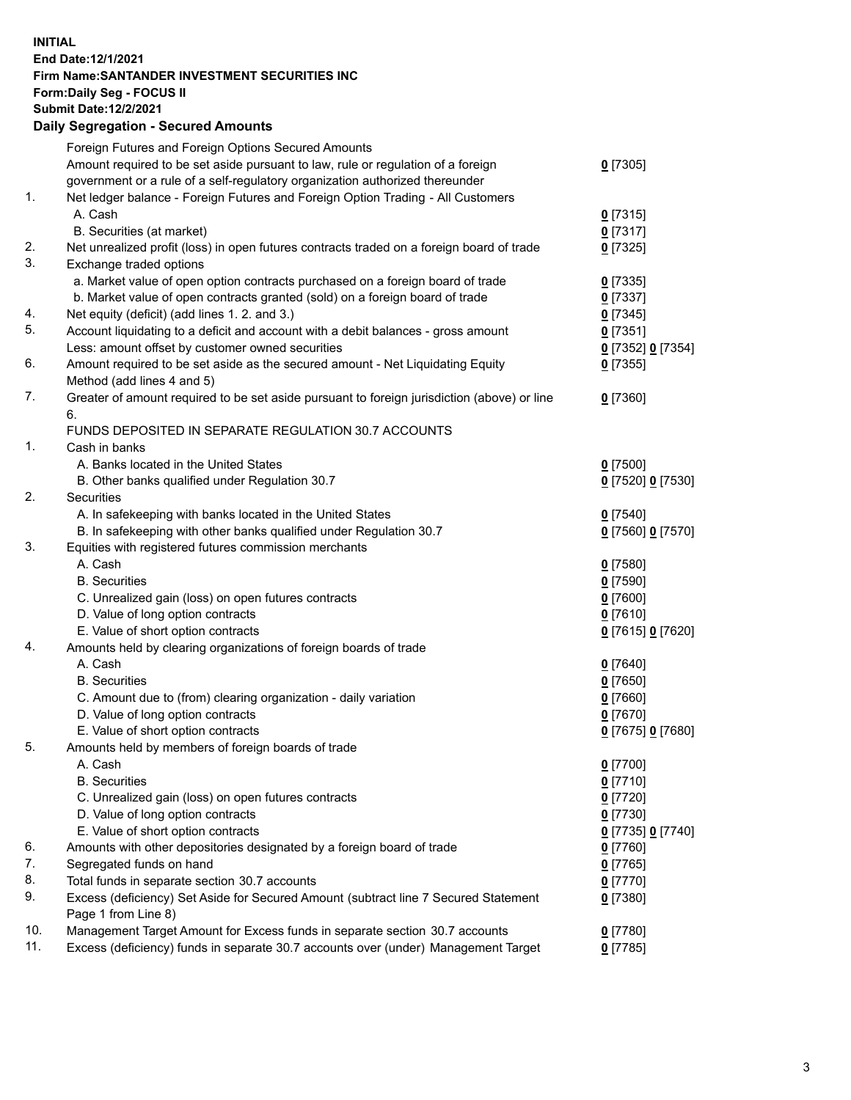**INITIAL End Date:12/1/2021 Firm Name:SANTANDER INVESTMENT SECURITIES INC Form:Daily Seg - FOCUS II Submit Date:12/2/2021 Daily Segregation - Secured Amounts**

|     | Foreign Futures and Foreign Options Secured Amounts                                         |                   |
|-----|---------------------------------------------------------------------------------------------|-------------------|
|     | Amount required to be set aside pursuant to law, rule or regulation of a foreign            | $0$ [7305]        |
|     | government or a rule of a self-regulatory organization authorized thereunder                |                   |
| 1.  | Net ledger balance - Foreign Futures and Foreign Option Trading - All Customers             |                   |
|     | A. Cash                                                                                     | $0$ [7315]        |
|     | B. Securities (at market)                                                                   | $0$ [7317]        |
| 2.  | Net unrealized profit (loss) in open futures contracts traded on a foreign board of trade   | $0$ [7325]        |
| 3.  | Exchange traded options                                                                     |                   |
|     | a. Market value of open option contracts purchased on a foreign board of trade              | $0$ [7335]        |
|     | b. Market value of open contracts granted (sold) on a foreign board of trade                | $0$ [7337]        |
| 4.  | Net equity (deficit) (add lines 1. 2. and 3.)                                               | $0$ [7345]        |
| 5.  | Account liquidating to a deficit and account with a debit balances - gross amount           | $0$ [7351]        |
|     | Less: amount offset by customer owned securities                                            | 0 [7352] 0 [7354] |
| 6.  | Amount required to be set aside as the secured amount - Net Liquidating Equity              | $0$ [7355]        |
|     | Method (add lines 4 and 5)                                                                  |                   |
| 7.  | Greater of amount required to be set aside pursuant to foreign jurisdiction (above) or line | $0$ [7360]        |
|     | 6.                                                                                          |                   |
|     | FUNDS DEPOSITED IN SEPARATE REGULATION 30.7 ACCOUNTS                                        |                   |
| 1.  | Cash in banks                                                                               |                   |
|     | A. Banks located in the United States                                                       | $0$ [7500]        |
|     | B. Other banks qualified under Regulation 30.7                                              | 0 [7520] 0 [7530] |
| 2.  | Securities                                                                                  |                   |
|     | A. In safekeeping with banks located in the United States                                   | $0$ [7540]        |
|     | B. In safekeeping with other banks qualified under Regulation 30.7                          | 0 [7560] 0 [7570] |
| 3.  | Equities with registered futures commission merchants                                       |                   |
|     | A. Cash                                                                                     | $0$ [7580]        |
|     | <b>B.</b> Securities                                                                        | $0$ [7590]        |
|     | C. Unrealized gain (loss) on open futures contracts                                         | $0$ [7600]        |
|     | D. Value of long option contracts                                                           | $0$ [7610]        |
|     | E. Value of short option contracts                                                          | 0 [7615] 0 [7620] |
| 4.  | Amounts held by clearing organizations of foreign boards of trade                           |                   |
|     | A. Cash                                                                                     | $0$ [7640]        |
|     | <b>B.</b> Securities                                                                        | $0$ [7650]        |
|     | C. Amount due to (from) clearing organization - daily variation                             | $0$ [7660]        |
|     | D. Value of long option contracts                                                           | $0$ [7670]        |
|     | E. Value of short option contracts                                                          | 0 [7675] 0 [7680] |
| 5.  | Amounts held by members of foreign boards of trade                                          |                   |
|     | A. Cash                                                                                     | 0 [7700]          |
|     | <b>B.</b> Securities                                                                        | $0$ [7710]        |
|     | C. Unrealized gain (loss) on open futures contracts                                         | $0$ [7720]        |
|     | D. Value of long option contracts                                                           | $0$ [7730]        |
|     | E. Value of short option contracts                                                          | 0 [7735] 0 [7740] |
| 6.  | Amounts with other depositories designated by a foreign board of trade                      | $0$ [7760]        |
| 7.  | Segregated funds on hand                                                                    | $0$ [7765]        |
| 8.  | Total funds in separate section 30.7 accounts                                               | $0$ [7770]        |
| 9.  | Excess (deficiency) Set Aside for Secured Amount (subtract line 7 Secured Statement         | 0 [7380]          |
|     | Page 1 from Line 8)                                                                         |                   |
| 10. | Management Target Amount for Excess funds in separate section 30.7 accounts                 | $0$ [7780]        |
| 11. | Excess (deficiency) funds in separate 30.7 accounts over (under) Management Target          | $0$ [7785]        |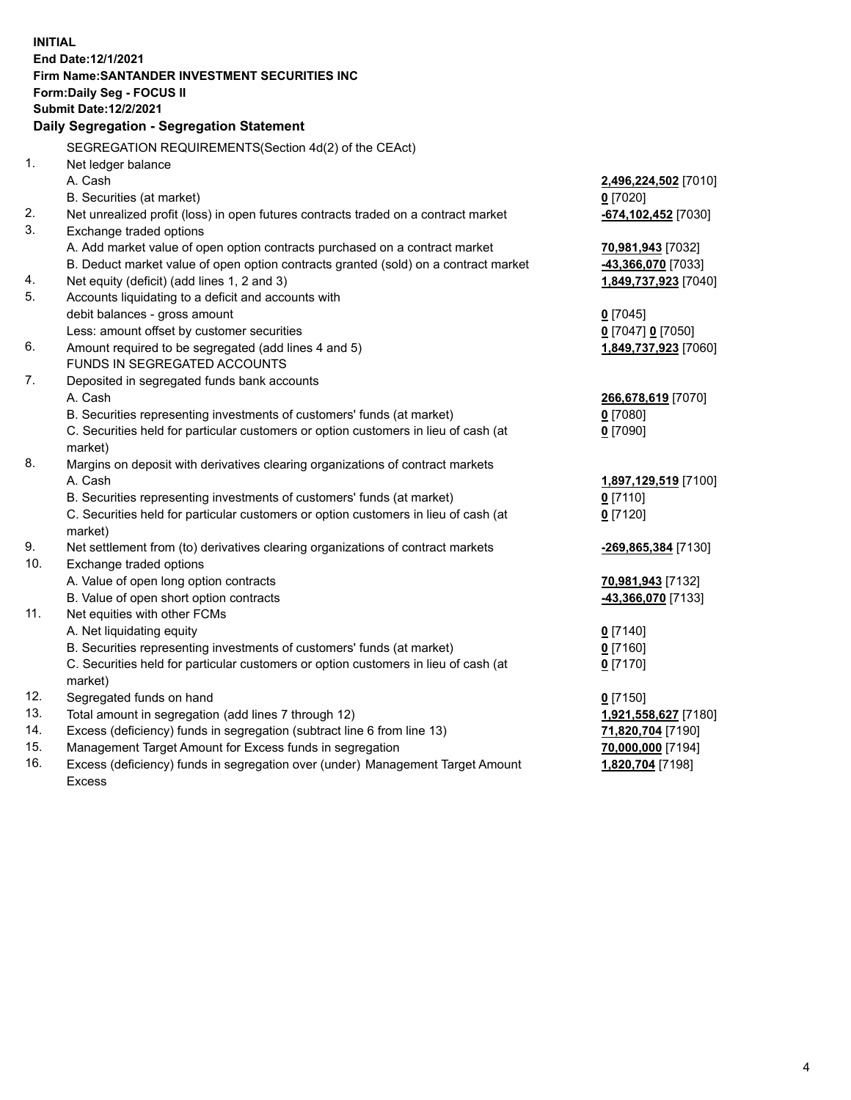| <b>INITIAL</b> |                                                                                     |                       |
|----------------|-------------------------------------------------------------------------------------|-----------------------|
|                | End Date: 12/1/2021                                                                 |                       |
|                | <b>Firm Name: SANTANDER INVESTMENT SECURITIES INC</b>                               |                       |
|                | <b>Form:Daily Seg - FOCUS II</b>                                                    |                       |
|                | <b>Submit Date:12/2/2021</b>                                                        |                       |
|                | Daily Segregation - Segregation Statement                                           |                       |
|                | SEGREGATION REQUIREMENTS(Section 4d(2) of the CEAct)                                |                       |
| 1.             | Net ledger balance                                                                  |                       |
|                | A. Cash                                                                             | 2,496,224,502 [7010]  |
|                | B. Securities (at market)                                                           | $0$ [7020]            |
| 2.             | Net unrealized profit (loss) in open futures contracts traded on a contract market  | -674,102,452 [7030]   |
| 3.             | Exchange traded options                                                             |                       |
|                | A. Add market value of open option contracts purchased on a contract market         | 70,981,943 [7032]     |
|                | B. Deduct market value of open option contracts granted (sold) on a contract market | -43,366,070 [7033]    |
| 4.             | Net equity (deficit) (add lines 1, 2 and 3)                                         | 1,849,737,923 [7040]  |
| 5.             | Accounts liquidating to a deficit and accounts with                                 |                       |
|                | debit balances - gross amount                                                       | $0$ [7045]            |
|                | Less: amount offset by customer securities                                          | $0$ [7047] $0$ [7050] |
| 6.             | Amount required to be segregated (add lines 4 and 5)                                | 1,849,737,923 [7060]  |
|                | FUNDS IN SEGREGATED ACCOUNTS                                                        |                       |
| 7.             | Deposited in segregated funds bank accounts                                         |                       |
|                | A. Cash                                                                             | 266,678,619 [7070]    |
|                | B. Securities representing investments of customers' funds (at market)              | $0$ [7080]            |
|                | C. Securities held for particular customers or option customers in lieu of cash (at | $0$ [7090]            |
|                | market)                                                                             |                       |
| 8.             | Margins on deposit with derivatives clearing organizations of contract markets      |                       |
|                | A. Cash                                                                             | 1,897,129,519 [7100]  |
|                | B. Securities representing investments of customers' funds (at market)              | $0$ [7110]            |
|                | C. Securities held for particular customers or option customers in lieu of cash (at | $0$ [7120]            |
|                | market)                                                                             |                       |
| 9.             | Net settlement from (to) derivatives clearing organizations of contract markets     | -269,865,384 [7130]   |
| 10.            | Exchange traded options                                                             |                       |
|                | A. Value of open long option contracts                                              | 70,981,943 [7132]     |
|                | B. Value of open short option contracts                                             | -43,366,070 [7133]    |
| 11.            | Net equities with other FCMs                                                        |                       |
|                | A. Net liquidating equity                                                           | $0$ [7140]            |
|                | B. Securities representing investments of customers' funds (at market)              | $0$ [7160]            |
|                | C. Securities held for particular customers or option customers in lieu of cash (at | $0$ [7170]            |
|                | market)                                                                             |                       |
| 12.            | Segregated funds on hand                                                            | $0$ [7150]            |
| 13.            | Total amount in segregation (add lines 7 through 12)                                | 1,921,558,627 [7180]  |
| 14.            | Excess (deficiency) funds in segregation (subtract line 6 from line 13)             | 71,820,704 [7190]     |
| 15.            | Management Target Amount for Excess funds in segregation                            | 70,000,000 [7194]     |
| 16.            | Excess (deficiency) funds in segregation over (under) Management Target Amount      | 1,820,704 [7198]      |
|                | <b>Excess</b>                                                                       |                       |